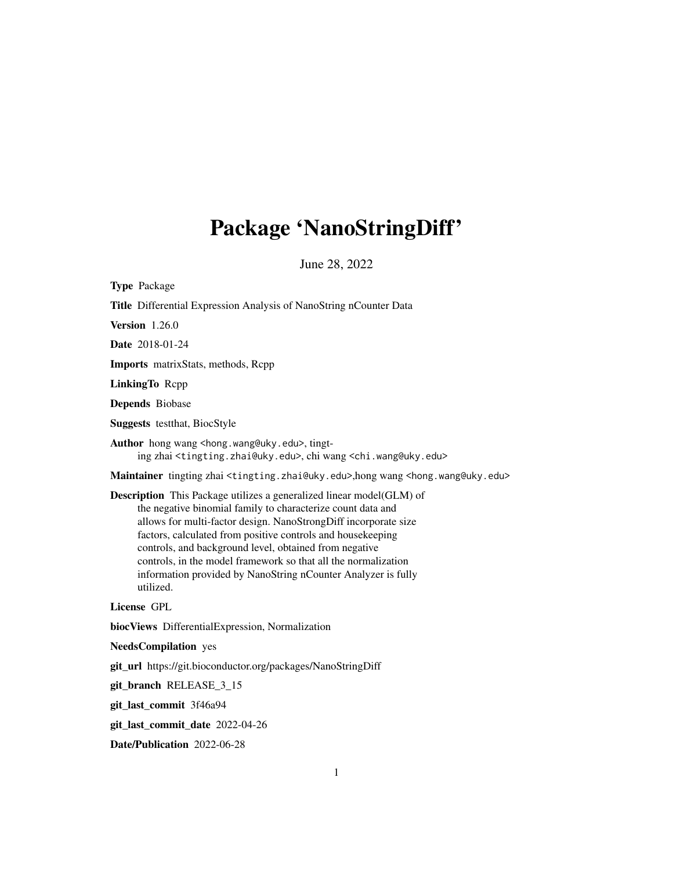# Package 'NanoStringDiff'

June 28, 2022

| <b>Type Package</b>                                                                                                                                                                                                                                                                                                                                                                                                                                                                    |
|----------------------------------------------------------------------------------------------------------------------------------------------------------------------------------------------------------------------------------------------------------------------------------------------------------------------------------------------------------------------------------------------------------------------------------------------------------------------------------------|
| Title Differential Expression Analysis of NanoString nCounter Data                                                                                                                                                                                                                                                                                                                                                                                                                     |
| <b>Version</b> 1.26.0                                                                                                                                                                                                                                                                                                                                                                                                                                                                  |
| Date 2018-01-24                                                                                                                                                                                                                                                                                                                                                                                                                                                                        |
| Imports matrixStats, methods, Rcpp                                                                                                                                                                                                                                                                                                                                                                                                                                                     |
| LinkingTo Repp                                                                                                                                                                                                                                                                                                                                                                                                                                                                         |
| Depends Biobase                                                                                                                                                                                                                                                                                                                                                                                                                                                                        |
| <b>Suggests</b> test that, BiocStyle                                                                                                                                                                                                                                                                                                                                                                                                                                                   |
| Author hong wang <hong.wang@uky.edu>, tingt-<br/>ing zhai <tingting.zhai@uky.edu>, chi wang <chi.wang@uky.edu></chi.wang@uky.edu></tingting.zhai@uky.edu></hong.wang@uky.edu>                                                                                                                                                                                                                                                                                                          |
| Maintainer tingting zhai <tingting.zhai@uky.edu>,hong wang <hong.wang@uky.edu></hong.wang@uky.edu></tingting.zhai@uky.edu>                                                                                                                                                                                                                                                                                                                                                             |
| <b>Description</b> This Package utilizes a generalized linear model(GLM) of<br>the negative binomial family to characterize count data and<br>allows for multi-factor design. NanoStrongDiff incorporate size<br>factors, calculated from positive controls and housekeeping<br>controls, and background level, obtained from negative<br>controls, in the model framework so that all the normalization<br>information provided by NanoString nCounter Analyzer is fully<br>utilized. |
| License GPL                                                                                                                                                                                                                                                                                                                                                                                                                                                                            |
| biocViews DifferentialExpression, Normalization                                                                                                                                                                                                                                                                                                                                                                                                                                        |
| <b>NeedsCompilation</b> yes                                                                                                                                                                                                                                                                                                                                                                                                                                                            |
| git_url https://git.bioconductor.org/packages/NanoStringDiff                                                                                                                                                                                                                                                                                                                                                                                                                           |
| git_branch RELEASE_3_15                                                                                                                                                                                                                                                                                                                                                                                                                                                                |
| git_last_commit 3f46a94                                                                                                                                                                                                                                                                                                                                                                                                                                                                |
| git_last_commit_date 2022-04-26                                                                                                                                                                                                                                                                                                                                                                                                                                                        |
| Date/Publication 2022-06-28                                                                                                                                                                                                                                                                                                                                                                                                                                                            |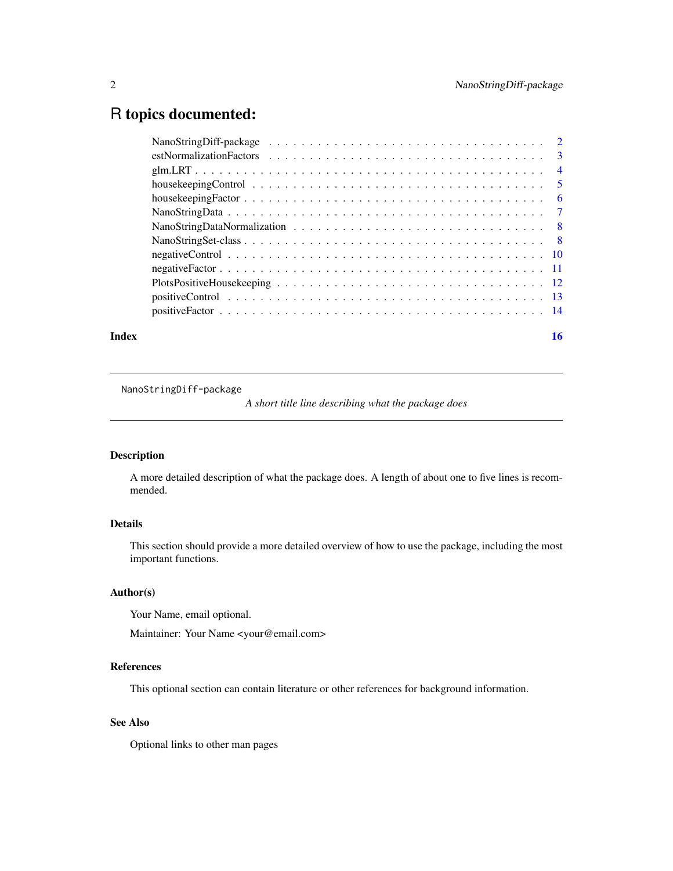## <span id="page-1-0"></span>R topics documented:

| housekeepingControl $\ldots \ldots \ldots \ldots \ldots \ldots \ldots \ldots \ldots \ldots \ldots \ldots 5$ |  |  |  |  |  |  |  |  |  |  |  |  |  |
|-------------------------------------------------------------------------------------------------------------|--|--|--|--|--|--|--|--|--|--|--|--|--|
|                                                                                                             |  |  |  |  |  |  |  |  |  |  |  |  |  |
|                                                                                                             |  |  |  |  |  |  |  |  |  |  |  |  |  |
|                                                                                                             |  |  |  |  |  |  |  |  |  |  |  |  |  |
|                                                                                                             |  |  |  |  |  |  |  |  |  |  |  |  |  |
|                                                                                                             |  |  |  |  |  |  |  |  |  |  |  |  |  |
|                                                                                                             |  |  |  |  |  |  |  |  |  |  |  |  |  |
|                                                                                                             |  |  |  |  |  |  |  |  |  |  |  |  |  |
|                                                                                                             |  |  |  |  |  |  |  |  |  |  |  |  |  |
|                                                                                                             |  |  |  |  |  |  |  |  |  |  |  |  |  |

NanoStringDiff-package

*A short title line describing what the package does*

### Description

A more detailed description of what the package does. A length of about one to five lines is recommended.

### Details

This section should provide a more detailed overview of how to use the package, including the most important functions.

### Author(s)

Your Name, email optional.

Maintainer: Your Name <your@email.com>

### References

This optional section can contain literature or other references for background information.

### See Also

Optional links to other man pages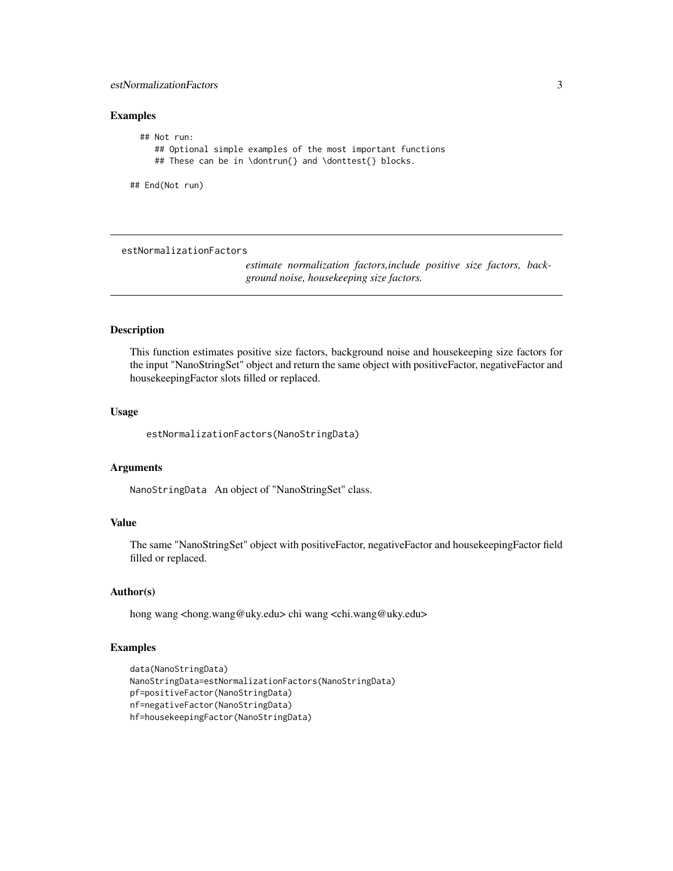### <span id="page-2-0"></span>estNormalizationFactors 3

### Examples

```
## Not run:
   ## Optional simple examples of the most important functions
   ## These can be in \dontrun{} and \donttest{} blocks.
```
## End(Not run)

#### estNormalizationFactors

*estimate normalization factors,include positive size factors, background noise, housekeeping size factors.*

### Description

This function estimates positive size factors, background noise and housekeeping size factors for the input "NanoStringSet" object and return the same object with positiveFactor, negativeFactor and housekeepingFactor slots filled or replaced.

#### Usage

estNormalizationFactors(NanoStringData)

#### Arguments

NanoStringData An object of "NanoStringSet" class.

### Value

The same "NanoStringSet" object with positiveFactor, negativeFactor and housekeepingFactor field filled or replaced.

#### Author(s)

hong wang <hong.wang@uky.edu> chi wang <chi.wang@uky.edu>

### Examples

```
data(NanoStringData)
NanoStringData=estNormalizationFactors(NanoStringData)
pf=positiveFactor(NanoStringData)
nf=negativeFactor(NanoStringData)
hf=housekeepingFactor(NanoStringData)
```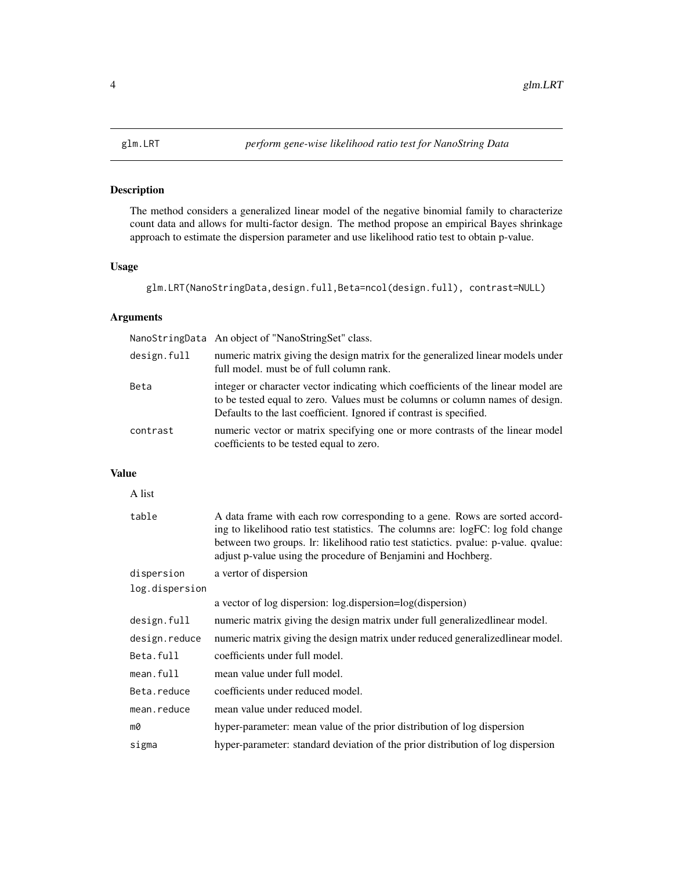<span id="page-3-0"></span>

### Description

The method considers a generalized linear model of the negative binomial family to characterize count data and allows for multi-factor design. The method propose an empirical Bayes shrinkage approach to estimate the dispersion parameter and use likelihood ratio test to obtain p-value.

### Usage

glm.LRT(NanoStringData,design.full,Beta=ncol(design.full), contrast=NULL)

### Arguments

|             | NanoStringData An object of "NanoStringSet" class.                                                                                                                                                                                        |
|-------------|-------------------------------------------------------------------------------------------------------------------------------------------------------------------------------------------------------------------------------------------|
| design.full | numeric matrix giving the design matrix for the generalized linear models under<br>full model, must be of full column rank.                                                                                                               |
| Beta        | integer or character vector indicating which coefficients of the linear model are<br>to be tested equal to zero. Values must be columns or column names of design.<br>Defaults to the last coefficient. Ignored if contrast is specified. |
| contrast    | numeric vector or matrix specifying one or more contrasts of the linear model<br>coefficients to be tested equal to zero.                                                                                                                 |

### Value

| A list         |                                                                                                                                                                                                                                                                                                                        |
|----------------|------------------------------------------------------------------------------------------------------------------------------------------------------------------------------------------------------------------------------------------------------------------------------------------------------------------------|
| table          | A data frame with each row corresponding to a gene. Rows are sorted accord-<br>ing to likelihood ratio test statistics. The columns are: logFC: log fold change<br>between two groups. Ir: likelihood ratio test statictics. pvalue: p-value. qvalue:<br>adjust p-value using the procedure of Benjamini and Hochberg. |
| dispersion     | a vertor of dispersion                                                                                                                                                                                                                                                                                                 |
| log.dispersion |                                                                                                                                                                                                                                                                                                                        |
|                | a vector of log dispersion: log.dispersion=log(dispersion)                                                                                                                                                                                                                                                             |
| design.full    | numeric matrix giving the design matrix under full generalized linear model.                                                                                                                                                                                                                                           |
| design.reduce  | numeric matrix giving the design matrix under reduced generalized linear model.                                                                                                                                                                                                                                        |
| Beta.full      | coefficients under full model.                                                                                                                                                                                                                                                                                         |
| mean.full      | mean value under full model.                                                                                                                                                                                                                                                                                           |
| Beta.reduce    | coefficients under reduced model.                                                                                                                                                                                                                                                                                      |
| mean.reduce    | mean value under reduced model.                                                                                                                                                                                                                                                                                        |
| m0             | hyper-parameter: mean value of the prior distribution of log dispersion                                                                                                                                                                                                                                                |
| sigma          | hyper-parameter: standard deviation of the prior distribution of log dispersion                                                                                                                                                                                                                                        |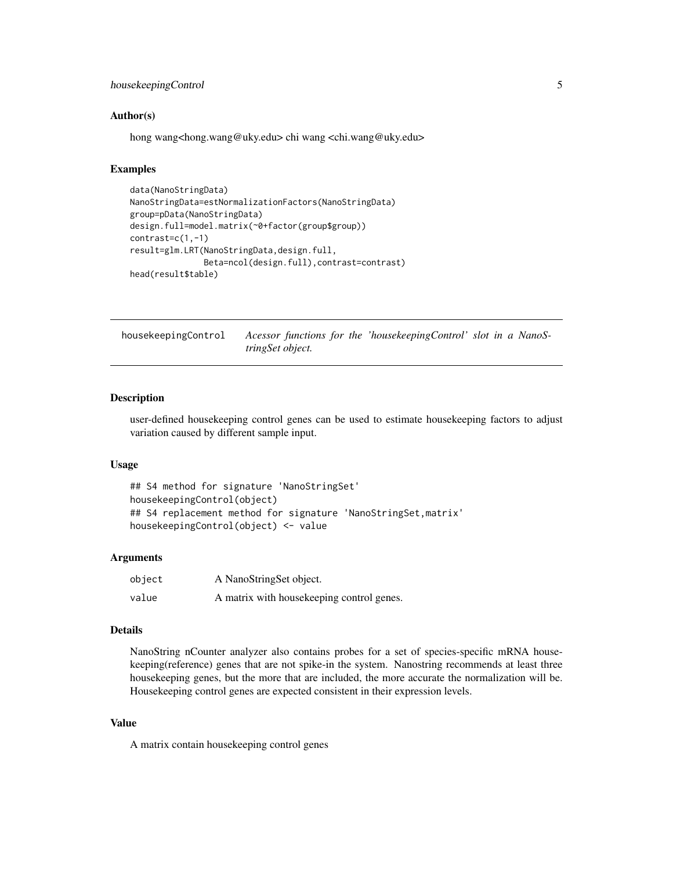### <span id="page-4-0"></span>housekeepingControl 5

#### Author(s)

hong wang<hong.wang@uky.edu> chi wang <chi.wang@uky.edu>

### Examples

```
data(NanoStringData)
NanoStringData=estNormalizationFactors(NanoStringData)
group=pData(NanoStringData)
design.full=model.matrix(~0+factor(group$group))
contrast=c(1,-1)
result=glm.LRT(NanoStringData,design.full,
               Beta=ncol(design.full),contrast=contrast)
head(result$table)
```
housekeepingControl *Acessor functions for the 'housekeepingControl' slot in a NanoStringSet object.*

### Description

user-defined housekeeping control genes can be used to estimate housekeeping factors to adjust variation caused by different sample input.

#### Usage

```
## S4 method for signature 'NanoStringSet'
housekeepingControl(object)
## S4 replacement method for signature 'NanoStringSet, matrix'
housekeepingControl(object) <- value
```
#### Arguments

| object | A NanoStringSet object.                   |
|--------|-------------------------------------------|
| value  | A matrix with housekeeping control genes. |

#### Details

NanoString nCounter analyzer also contains probes for a set of species-specific mRNA housekeeping(reference) genes that are not spike-in the system. Nanostring recommends at least three housekeeping genes, but the more that are included, the more accurate the normalization will be. Housekeeping control genes are expected consistent in their expression levels.

#### Value

A matrix contain housekeeping control genes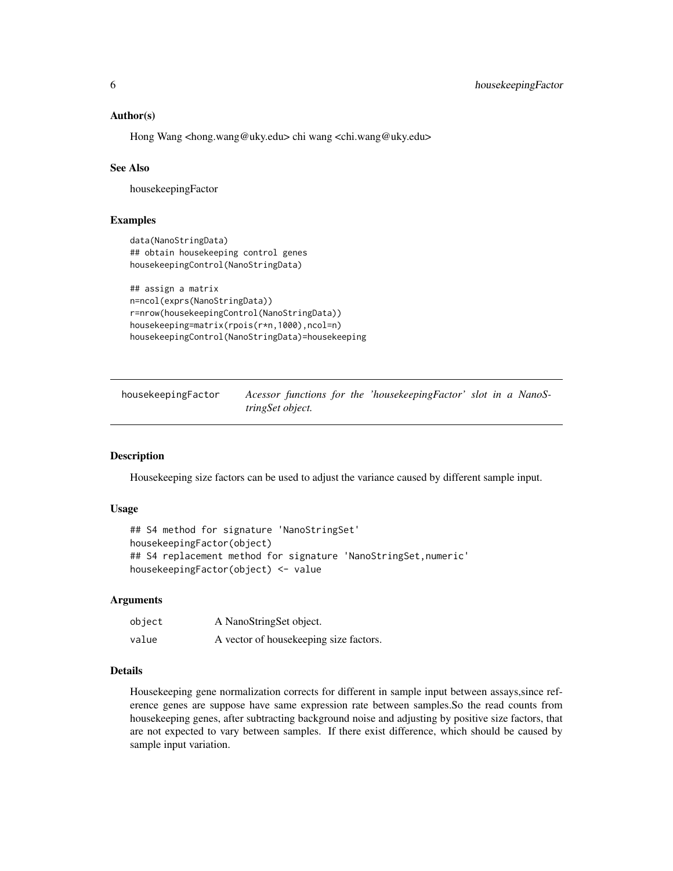#### <span id="page-5-0"></span>Author(s)

Hong Wang <hong.wang@uky.edu> chi wang <chi.wang@uky.edu>

#### See Also

housekeepingFactor

#### Examples

```
data(NanoStringData)
## obtain housekeeping control genes
housekeepingControl(NanoStringData)
```

```
## assign a matrix
n=ncol(exprs(NanoStringData))
r=nrow(housekeepingControl(NanoStringData))
housekeeping=matrix(rpois(r*n,1000),ncol=n)
housekeepingControl(NanoStringData)=housekeeping
```
housekeepingFactor *Acessor functions for the 'housekeepingFactor' slot in a NanoStringSet object.*

#### Description

Housekeeping size factors can be used to adjust the variance caused by different sample input.

#### Usage

```
## S4 method for signature 'NanoStringSet'
housekeepingFactor(object)
## S4 replacement method for signature 'NanoStringSet,numeric'
housekeepingFactor(object) <- value
```
#### Arguments

| object | A NanoStringSet object.                 |
|--------|-----------------------------------------|
| value  | A vector of house keeping size factors. |

### Details

Housekeeping gene normalization corrects for different in sample input between assays, since reference genes are suppose have same expression rate between samples.So the read counts from housekeeping genes, after subtracting background noise and adjusting by positive size factors, that are not expected to vary between samples. If there exist difference, which should be caused by sample input variation.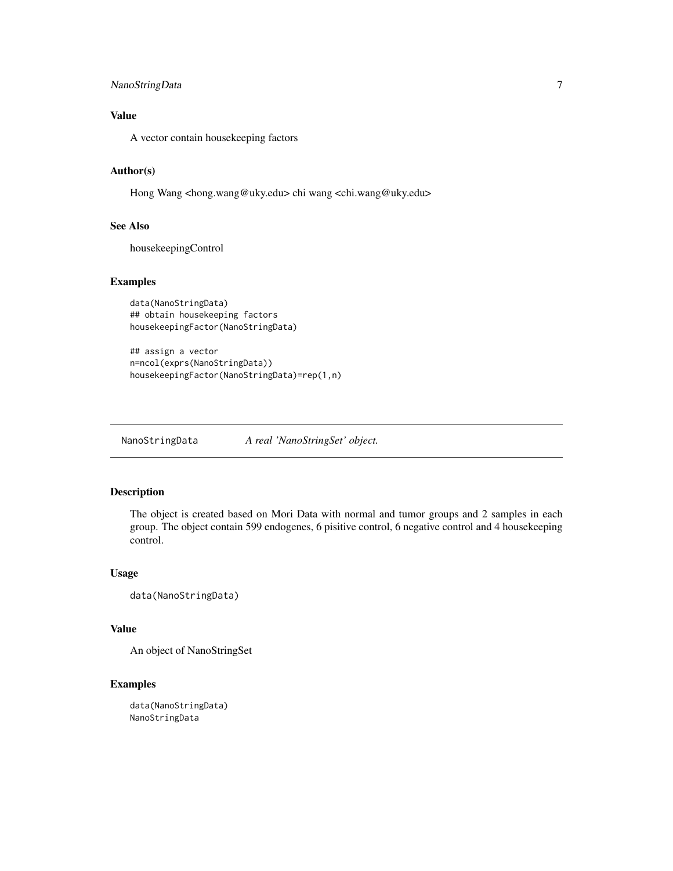### <span id="page-6-0"></span>NanoStringData 7

### Value

A vector contain housekeeping factors

#### Author(s)

Hong Wang <hong.wang@uky.edu> chi wang <chi.wang@uky.edu>

#### See Also

housekeepingControl

#### Examples

```
data(NanoStringData)
## obtain housekeeping factors
housekeepingFactor(NanoStringData)
```

```
## assign a vector
n=ncol(exprs(NanoStringData))
housekeepingFactor(NanoStringData)=rep(1,n)
```
NanoStringData *A real 'NanoStringSet' object.*

### Description

The object is created based on Mori Data with normal and tumor groups and 2 samples in each group. The object contain 599 endogenes, 6 pisitive control, 6 negative control and 4 housekeeping control.

#### Usage

```
data(NanoStringData)
```
### Value

An object of NanoStringSet

### Examples

data(NanoStringData) NanoStringData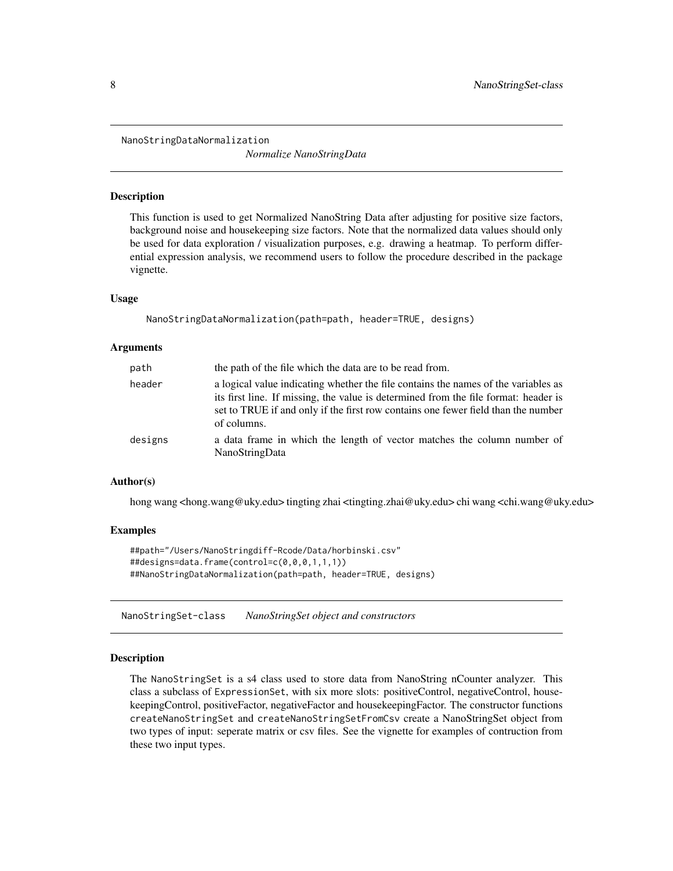<span id="page-7-0"></span>NanoStringDataNormalization

*Normalize NanoStringData*

#### Description

This function is used to get Normalized NanoString Data after adjusting for positive size factors, background noise and housekeeping size factors. Note that the normalized data values should only be used for data exploration / visualization purposes, e.g. drawing a heatmap. To perform differential expression analysis, we recommend users to follow the procedure described in the package vignette.

#### Usage

NanoStringDataNormalization(path=path, header=TRUE, designs)

#### Arguments

| path    | the path of the file which the data are to be read from.                                                                                                                                                                                                                      |
|---------|-------------------------------------------------------------------------------------------------------------------------------------------------------------------------------------------------------------------------------------------------------------------------------|
| header  | a logical value indicating whether the file contains the names of the variables as<br>its first line. If missing, the value is determined from the file format: header is<br>set to TRUE if and only if the first row contains one fewer field than the number<br>of columns. |
| designs | a data frame in which the length of vector matches the column number of<br>NanoStringData                                                                                                                                                                                     |

#### Author(s)

hong wang <hong.wang@uky.edu> tingting zhai <tingting.zhai@uky.edu> chi wang <chi.wang@uky.edu>

#### Examples

```
##path="/Users/NanoStringdiff-Rcode/Data/horbinski.csv"
##designs=data.frame(control=c(0,0,0,1,1,1))
##NanoStringDataNormalization(path=path, header=TRUE, designs)
```
NanoStringSet-class *NanoStringSet object and constructors*

#### Description

The NanoStringSet is a s4 class used to store data from NanoString nCounter analyzer. This class a subclass of ExpressionSet, with six more slots: positiveControl, negativeControl, housekeepingControl, positiveFactor, negativeFactor and housekeepingFactor. The constructor functions createNanoStringSet and createNanoStringSetFromCsv create a NanoStringSet object from two types of input: seperate matrix or csv files. See the vignette for examples of contruction from these two input types.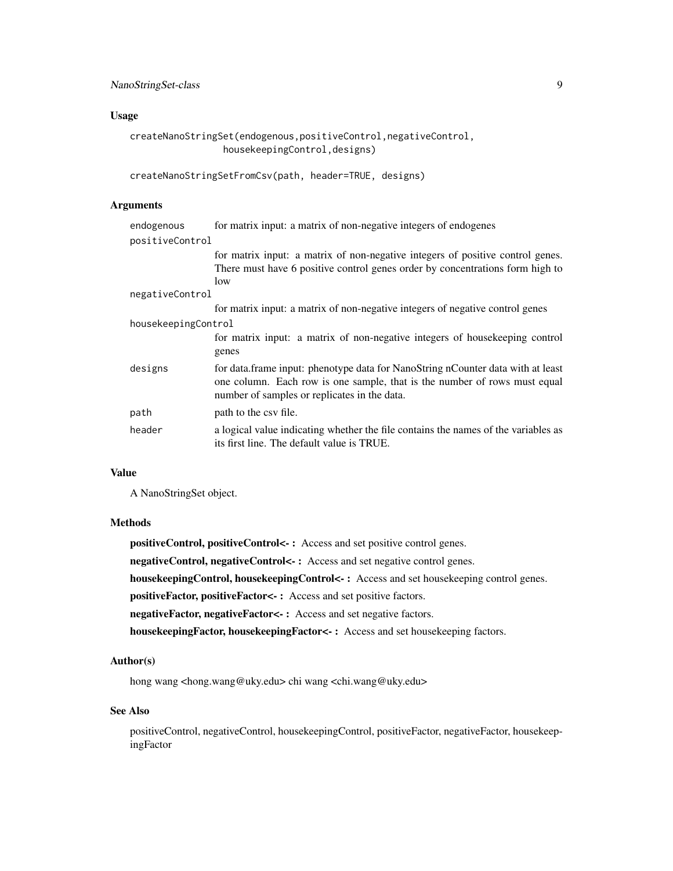#### Usage

```
createNanoStringSet(endogenous,positiveControl,negativeControl,
                housekeepingControl,designs)
```

```
createNanoStringSetFromCsv(path, header=TRUE, designs)
```
### Arguments

| endogenous          | for matrix input: a matrix of non-negative integers of endogenes                                                                                                                                             |
|---------------------|--------------------------------------------------------------------------------------------------------------------------------------------------------------------------------------------------------------|
| positiveControl     |                                                                                                                                                                                                              |
|                     | for matrix input: a matrix of non-negative integers of positive control genes.                                                                                                                               |
|                     | There must have 6 positive control genes order by concentrations form high to                                                                                                                                |
|                     | low                                                                                                                                                                                                          |
| negativeControl     |                                                                                                                                                                                                              |
|                     | for matrix input: a matrix of non-negative integers of negative control genes                                                                                                                                |
| housekeepingControl |                                                                                                                                                                                                              |
|                     | for matrix input: a matrix of non-negative integers of house keeping control                                                                                                                                 |
|                     | genes                                                                                                                                                                                                        |
| designs             | for data.frame input: phenotype data for NanoString nCounter data with at least<br>one column. Each row is one sample, that is the number of rows must equal<br>number of samples or replicates in the data. |
| path                | path to the csy file.                                                                                                                                                                                        |
| header              | a logical value indicating whether the file contains the names of the variables as<br>its first line. The default value is TRUE.                                                                             |

### Value

A NanoStringSet object.

#### Methods

positiveControl, positiveControl<- : Access and set positive control genes.

negativeControl, negativeControl<-: Access and set negative control genes.

housekeepingControl, housekeepingControl<- : Access and set housekeeping control genes.

positiveFactor, positiveFactor<- : Access and set positive factors.

negativeFactor, negativeFactor<- : Access and set negative factors.

housekeepingFactor, housekeepingFactor<- : Access and set housekeeping factors.

### Author(s)

hong wang <hong.wang@uky.edu> chi wang <chi.wang@uky.edu>

#### See Also

positiveControl, negativeControl, housekeepingControl, positiveFactor, negativeFactor, housekeepingFactor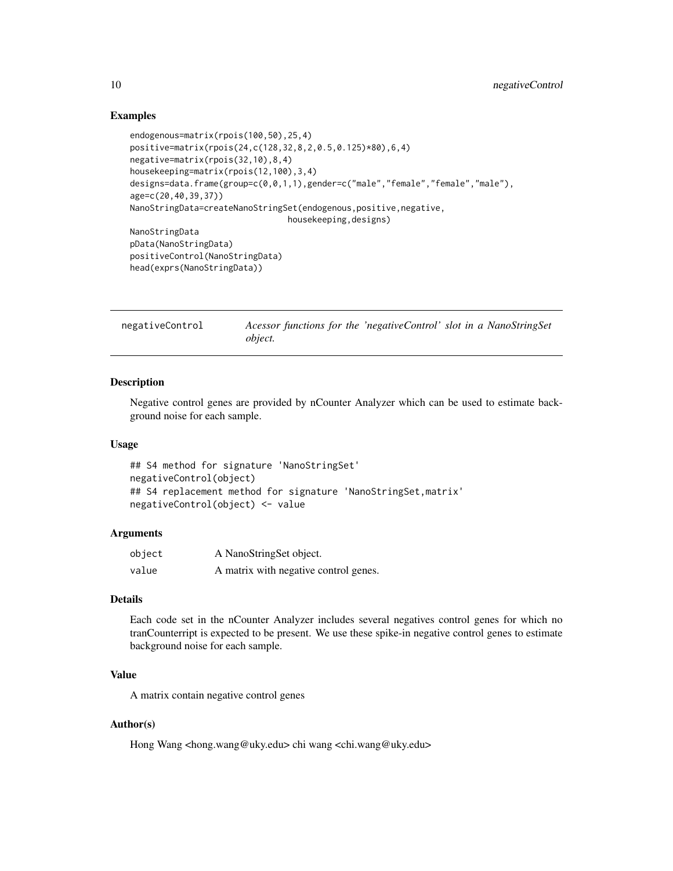### Examples

```
endogenous=matrix(rpois(100,50),25,4)
positive=matrix(rpois(24,c(128,32,8,2,0.5,0.125)*80),6,4)
negative=matrix(rpois(32,10),8,4)
housekeeping=matrix(rpois(12,100),3,4)
designs=data.frame(group=c(0,0,1,1),gender=c("male","female","female","male"),
age=c(20,40,39,37))
NanoStringData=createNanoStringSet(endogenous,positive,negative,
                               housekeeping,designs)
NanoStringData
pData(NanoStringData)
positiveControl(NanoStringData)
head(exprs(NanoStringData))
```

| negativeControl | Acessor functions for the 'negativeControl' slot in a NanoStringSet |  |  |
|-----------------|---------------------------------------------------------------------|--|--|
|                 | <i>object.</i>                                                      |  |  |

#### Description

Negative control genes are provided by nCounter Analyzer which can be used to estimate background noise for each sample.

#### Usage

```
## S4 method for signature 'NanoStringSet'
negativeControl(object)
## S4 replacement method for signature 'NanoStringSet, matrix'
negativeControl(object) <- value
```
### Arguments

| object | A NanoStringSet object.               |
|--------|---------------------------------------|
| value  | A matrix with negative control genes. |

### Details

Each code set in the nCounter Analyzer includes several negatives control genes for which no tranCounterript is expected to be present. We use these spike-in negative control genes to estimate background noise for each sample.

### Value

A matrix contain negative control genes

### Author(s)

Hong Wang <hong.wang@uky.edu> chi wang <chi.wang@uky.edu>

<span id="page-9-0"></span>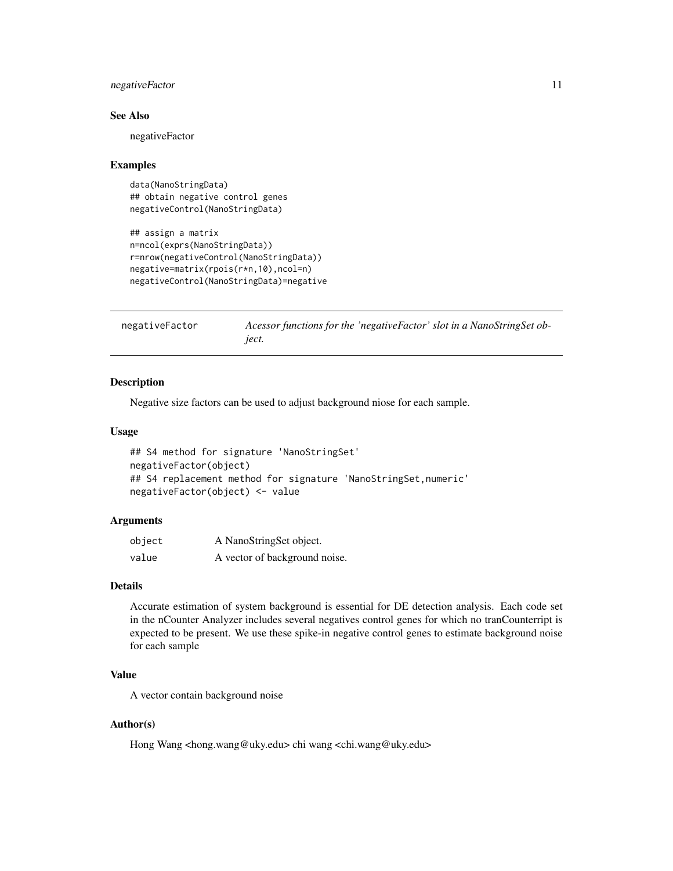#### <span id="page-10-0"></span>negativeFactor 11

#### See Also

negativeFactor

#### Examples

```
data(NanoStringData)
## obtain negative control genes
negativeControl(NanoStringData)
```

```
## assign a matrix
n=ncol(exprs(NanoStringData))
r=nrow(negativeControl(NanoStringData))
negative=matrix(rpois(r*n,10),ncol=n)
negativeControl(NanoStringData)=negative
```
negativeFactor *Acessor functions for the 'negativeFactor' slot in a NanoStringSet object.*

#### **Description**

Negative size factors can be used to adjust background niose for each sample.

#### Usage

```
## S4 method for signature 'NanoStringSet'
negativeFactor(object)
## S4 replacement method for signature 'NanoStringSet, numeric'
negativeFactor(object) <- value
```
### Arguments

| object | A NanoStringSet object.       |
|--------|-------------------------------|
| value  | A vector of background noise. |

#### Details

Accurate estimation of system background is essential for DE detection analysis. Each code set in the nCounter Analyzer includes several negatives control genes for which no tranCounterript is expected to be present. We use these spike-in negative control genes to estimate background noise for each sample

### Value

A vector contain background noise

### Author(s)

Hong Wang <hong.wang@uky.edu> chi wang <chi.wang@uky.edu>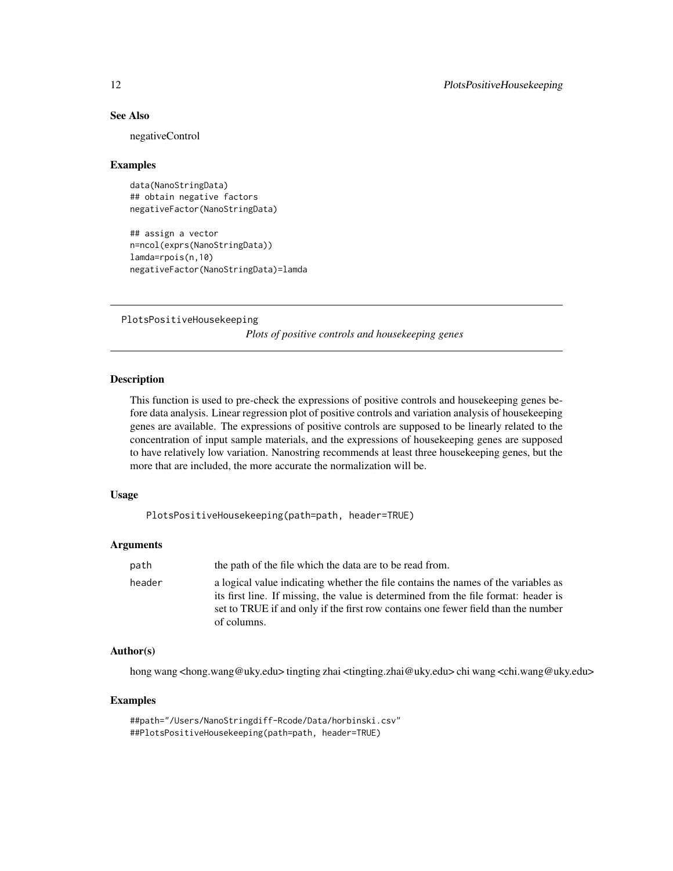### See Also

negativeControl

#### Examples

```
data(NanoStringData)
## obtain negative factors
negativeFactor(NanoStringData)
```

```
## assign a vector
n=ncol(exprs(NanoStringData))
lamda=rpois(n,10)
negativeFactor(NanoStringData)=lamda
```

```
PlotsPositiveHousekeeping
```
*Plots of positive controls and housekeeping genes*

### Description

This function is used to pre-check the expressions of positive controls and housekeeping genes before data analysis. Linear regression plot of positive controls and variation analysis of housekeeping genes are available. The expressions of positive controls are supposed to be linearly related to the concentration of input sample materials, and the expressions of housekeeping genes are supposed to have relatively low variation. Nanostring recommends at least three housekeeping genes, but the more that are included, the more accurate the normalization will be.

#### Usage

PlotsPositiveHousekeeping(path=path, header=TRUE)

#### Arguments

| path   | the path of the file which the data are to be read from.                                                                                                                                                                                                                      |
|--------|-------------------------------------------------------------------------------------------------------------------------------------------------------------------------------------------------------------------------------------------------------------------------------|
| header | a logical value indicating whether the file contains the names of the variables as<br>its first line. If missing, the value is determined from the file format: header is<br>set to TRUE if and only if the first row contains one fewer field than the number<br>of columns. |

### Author(s)

hong wang <hong.wang@uky.edu> tingting zhai <tingting.zhai@uky.edu> chi wang <chi.wang@uky.edu>

### Examples

```
##path="/Users/NanoStringdiff-Rcode/Data/horbinski.csv"
##PlotsPositiveHousekeeping(path=path, header=TRUE)
```
<span id="page-11-0"></span>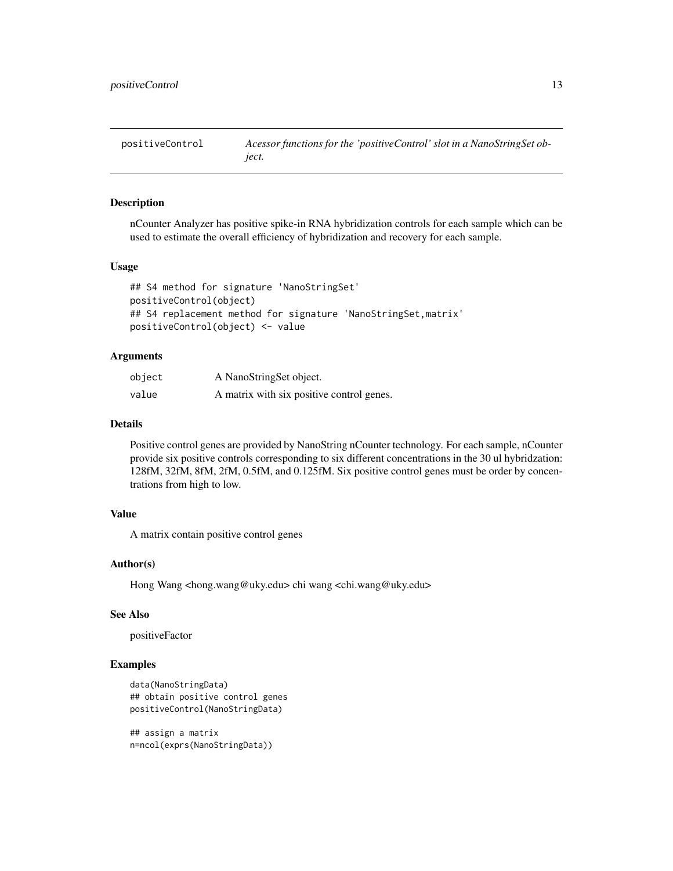<span id="page-12-0"></span>

#### Description

nCounter Analyzer has positive spike-in RNA hybridization controls for each sample which can be used to estimate the overall efficiency of hybridization and recovery for each sample.

#### Usage

```
## S4 method for signature 'NanoStringSet'
positiveControl(object)
## S4 replacement method for signature 'NanoStringSet, matrix'
positiveControl(object) <- value
```
### Arguments

| object | A NanoStringSet object.                   |
|--------|-------------------------------------------|
| value  | A matrix with six positive control genes. |

### Details

Positive control genes are provided by NanoString nCounter technology. For each sample, nCounter provide six positive controls corresponding to six different concentrations in the 30 ul hybridzation: 128fM, 32fM, 8fM, 2fM, 0.5fM, and 0.125fM. Six positive control genes must be order by concentrations from high to low.

#### Value

A matrix contain positive control genes

### Author(s)

Hong Wang <hong.wang@uky.edu> chi wang <chi.wang@uky.edu>

### See Also

positiveFactor

#### Examples

```
data(NanoStringData)
## obtain positive control genes
positiveControl(NanoStringData)
```

```
## assign a matrix
n=ncol(exprs(NanoStringData))
```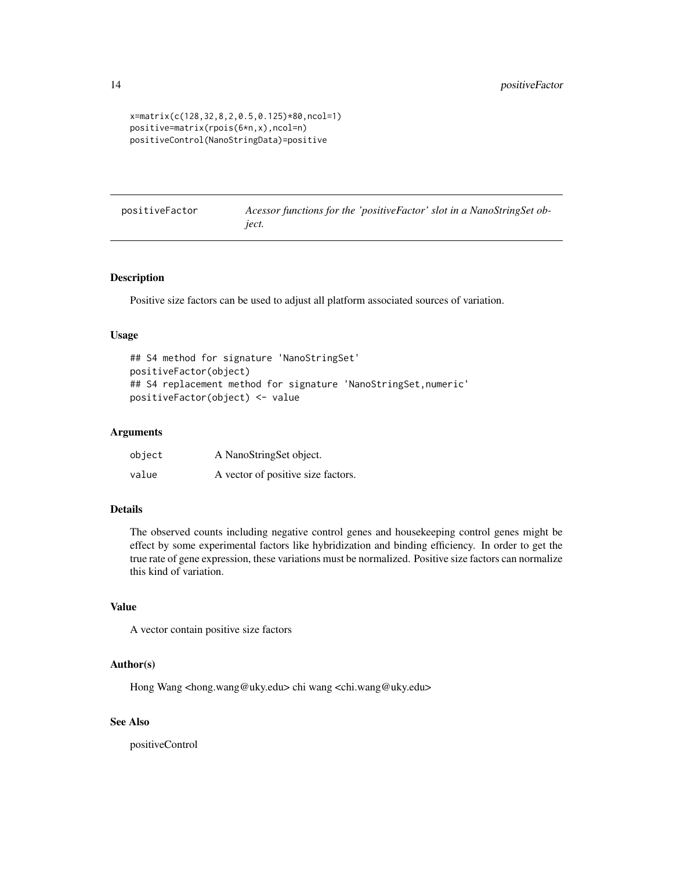```
x=matrix(c(128,32,8,2,0.5,0.125)*80,ncol=1)
positive=matrix(rpois(6*n,x),ncol=n)
positiveControl(NanoStringData)=positive
```

| positiveFactor | Acessor functions for the 'positiveFactor' slot in a NanoStringSet ob- |  |
|----------------|------------------------------------------------------------------------|--|
|                | <i>iect.</i>                                                           |  |

#### Description

Positive size factors can be used to adjust all platform associated sources of variation.

### Usage

```
## S4 method for signature 'NanoStringSet'
positiveFactor(object)
## S4 replacement method for signature 'NanoStringSet, numeric'
positiveFactor(object) <- value
```
#### Arguments

| object | A NanoStringSet object.            |
|--------|------------------------------------|
| value  | A vector of positive size factors. |

### Details

The observed counts including negative control genes and housekeeping control genes might be effect by some experimental factors like hybridization and binding efficiency. In order to get the true rate of gene expression, these variations must be normalized. Positive size factors can normalize this kind of variation.

### Value

A vector contain positive size factors

#### Author(s)

Hong Wang <hong.wang@uky.edu> chi wang <chi.wang@uky.edu>

#### See Also

positiveControl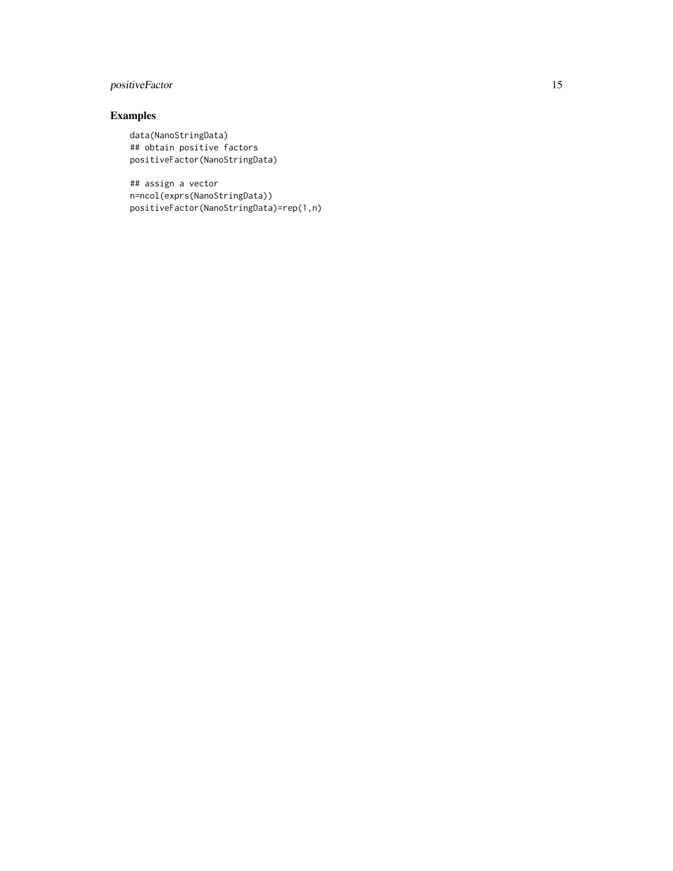### positiveFactor 15

### Examples

```
data(NanoStringData)
## obtain positive factors
positiveFactor(NanoStringData)
```
## assign a vector n=ncol(exprs(NanoStringData)) positiveFactor(NanoStringData)=rep(1,n)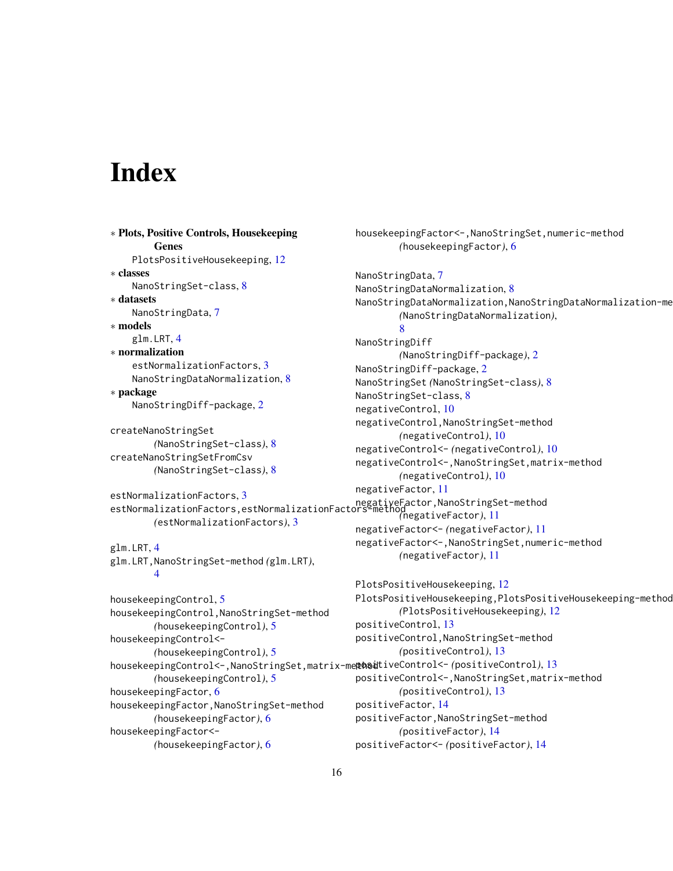## <span id="page-15-0"></span>**Index**

```
∗ Plots, Positive Controls, Housekeeping
        Genes
    PlotsPositiveHousekeeping, 12
∗ classes
    NanoStringSet-class, 8
∗ datasets
    NanoStringData, 7
∗ models
    glm.LRT, 4
∗ normalization
    estNormalizationFactors, 3
    NanoStringDataNormalization, 8
∗ package
    NanoStringDiff-package, 2
createNanoStringSet
        (NanoStringSet-class), 8
createNanoStringSetFromCsv
        (NanoStringSet-class), 8
estNormalizationFactors, 3
estNormalizationFactors,5<br>estNormalizationFactors,estNormalizationFactors-method
        (estNormalizationFactors), 3
glm.LRT, 4
glm.LRT,NanoStringSet-method (glm.LRT),
        4
housekeepingControl, 5
housekeepingControl,NanoStringSet-method
        (housekeepingControl), 5
housekeepingControl<-
        (housekeepingControl), 5
housekeepingControl<-,NanoStringSet,matrix-method
positiveControl<- (positiveControl), 13
        (housekeepingControl), 5
housekeepingFactor, 6
housekeepingFactor,NanoStringSet-method
        (housekeepingFactor), 6
housekeepingFactor<-
        (housekeepingFactor), 6
                                               housekeepingFactor<-,NanoStringSet,numeric-method
                                                        (housekeepingFactor), 6
                                               NanoStringData, 7
                                               NanoStringDataNormalization, 8
                                               NanoStringDataNormalization,NanoStringDataNormalization-me
                                                        (NanoStringDataNormalization),
                                                        8
                                               NanoStringDiff
                                                        (NanoStringDiff-package), 2
                                               NanoStringDiff-package, 2
                                               NanoStringSet (NanoStringSet-class), 8
                                               NanoStringSet-class, 8
                                               negativeControl, 10
                                               negativeControl,NanoStringSet-method
                                                        (negativeControl), 10
                                               negativeControl<- (negativeControl), 10
                                               negativeControl<-,NanoStringSet,matrix-method
                                                        (negativeControl), 10
                                               negativeFactor, 11
                                                        (negativeFactor), 11
                                               negativeFactor<- (negativeFactor), 11
                                               negativeFactor<-,NanoStringSet,numeric-method
                                                        (negativeFactor), 11
                                               PlotsPositiveHousekeeping, 12
                                               PlotsPositiveHousekeeping,PlotsPositiveHousekeeping-method
                                                        (PlotsPositiveHousekeeping), 12
                                               positiveControl, 13
                                               positiveControl,NanoStringSet-method
                                                        (positiveControl), 13
                                               positiveControl<-,NanoStringSet,matrix-method
                                                        (positiveControl), 13
                                               positiveFactor, 14
                                               positiveFactor,NanoStringSet-method
                                                        (positiveFactor), 14
                                               positiveFactor<- (positiveFactor), 14
```